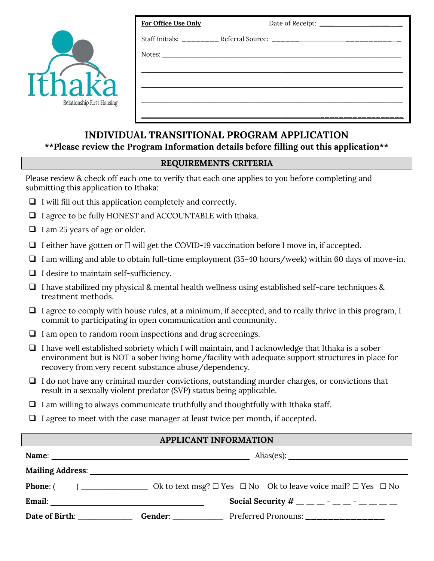| Relationship First Housing |
|----------------------------|

| For Office Use Only | Date of Receipt: ________________________ |
|---------------------|-------------------------------------------|
|                     |                                           |
|                     |                                           |
|                     |                                           |
|                     |                                           |
|                     |                                           |
|                     |                                           |
|                     |                                           |

## INDIVIDUAL TRANSITIONAL PROGRAM APPLICATION

### \*\*Please review the Program Information details before filling out this application\*\*

### REQUIREMENTS CRITERIA

Please review & check off each one to verify that each one applies to you before completing and submitting this application to Ithaka:

- $\Box$  I will fill out this application completely and correctly.
- $\Box$  I agree to be fully HONEST and ACCOUNTABLE with Ithaka.
- $\Box$  I am 25 years of age or older.
- $\Box$  I either have gotten or  $\Box$  will get the COVID-19 vaccination before I move in, if accepted.
- $\Box$  I am willing and able to obtain full-time employment (35-40 hours/week) within 60 days of move-in.
- $\Box$  I desire to maintain self-sufficiency.
- $\Box$  I have stabilized my physical & mental health wellness using established self-care techniques & treatment methods.
- $\Box$  I agree to comply with house rules, at a minimum, if accepted, and to really thrive in this program, I commit to participating in open communication and community.
- $\Box$  I am open to random room inspections and drug screenings.
- $\Box$  I have well established sobriety which I will maintain, and I acknowledge that Ithaka is a sober environment but is NOT a sober living home/facility with adequate support structures in place for recovery from very recent substance abuse/dependency.
- $\Box$  I do not have any criminal murder convictions, outstanding murder charges, or convictions that result in a sexually violent predator (SVP) status being applicable.
- $\Box$  I am willing to always communicate truthfully and thoughtfully with Ithaka staff.
- $\Box$  I agree to meet with the case manager at least twice per month, if accepted.

### APPLICANT INFORMATION

| Mailing Address: National Address: National Address: National Address: National Address: National Address: National Address: National Address: National Address: National Address: National Address: National Address: Nationa |  |                                                                                   |  |
|--------------------------------------------------------------------------------------------------------------------------------------------------------------------------------------------------------------------------------|--|-----------------------------------------------------------------------------------|--|
| <b>Phone:</b> (                                                                                                                                                                                                                |  | Ok to text msg? $\Box$ Yes $\Box$ No Ok to leave voice mail? $\Box$ Yes $\Box$ No |  |
|                                                                                                                                                                                                                                |  | Social Security # _ _ _ _ - _ _ - _ _ - _ _ _                                     |  |
| Date of Birth:                                                                                                                                                                                                                 |  | Gender: Preferred Pronouns: _______________                                       |  |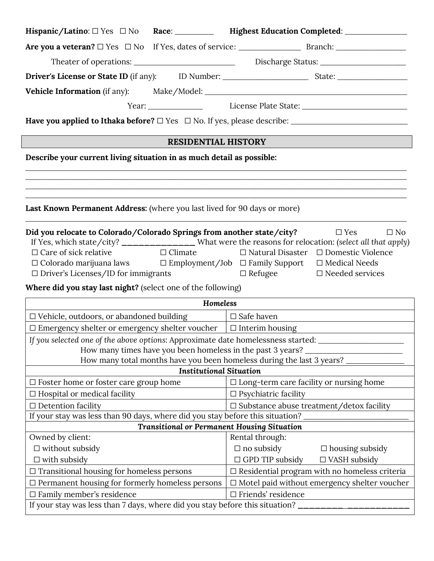|                                                                                                      |                                | Hispanic/Latino: $\Box$ Yes $\Box$ No Race: ___________ Highest Education Completed: __________________               |
|------------------------------------------------------------------------------------------------------|--------------------------------|-----------------------------------------------------------------------------------------------------------------------|
|                                                                                                      |                                |                                                                                                                       |
| Theater of operations: ___________________________________Discharge Status: ________________________ |                                |                                                                                                                       |
|                                                                                                      |                                |                                                                                                                       |
|                                                                                                      |                                |                                                                                                                       |
|                                                                                                      |                                |                                                                                                                       |
|                                                                                                      |                                |                                                                                                                       |
|                                                                                                      |                                |                                                                                                                       |
|                                                                                                      | <b>RESIDENTIAL HISTORY</b>     |                                                                                                                       |
| Describe your current living situation in as much detail as possible:                                |                                |                                                                                                                       |
|                                                                                                      |                                |                                                                                                                       |
|                                                                                                      |                                | <u> 1989 - Johann Stoff, deutscher Stoff, der Stoff, der Stoff, der Stoff, der Stoff, der Stoff, der Stoff, der S</u> |
| Last Known Permanent Address: (where you last lived for 90 days or more)                             |                                |                                                                                                                       |
|                                                                                                      |                                |                                                                                                                       |
| Did you relocate to Colorado/Colorado Springs from another state/city?                               |                                | $\square$ No<br>$\Box$ Yes                                                                                            |
|                                                                                                      |                                | If Yes, which state/city? ________________ What were the reasons for relocation: (select all that apply)              |
| $\Box$ Care of sick relative                                                                         |                                | $\Box$ Climate $\Box$ Natural Disaster $\Box$ Domestic Violence                                                       |
|                                                                                                      |                                | $\Box$ Colorado marijuana laws $\Box$ Employment/Job $\Box$ Family Support $\Box$ Medical Needs                       |
| $\Box$ Driver's Licenses/ID for immigrants                                                           |                                | $\Box$ Refugee<br>$\Box$ Needed services                                                                              |
| Where did you stay last night? (select one of the following)                                         |                                |                                                                                                                       |
|                                                                                                      | Homeless                       |                                                                                                                       |
| $\Box$ Vehicle, outdoors, or abandoned building $\Box$ Safe haven                                    |                                |                                                                                                                       |
| $\Box$ Emergency shelter or emergency shelter voucher $\Box$ Interim housing                         |                                |                                                                                                                       |
|                                                                                                      |                                | If you selected one of the above options: Approximate date homelessness started: __________________                   |
|                                                                                                      |                                | How many times have you been homeless in the past 3 years?                                                            |
|                                                                                                      |                                | How many total months have you been homeless during the last 3 years?                                                 |
|                                                                                                      | <b>Institutional Situation</b> |                                                                                                                       |
| $\Box$ Foster home or foster care group home                                                         |                                | $\Box$ Long-term care facility or nursing home                                                                        |
| $\Box$ Hospital or medical facility                                                                  |                                | $\Box$ Psychiatric facility                                                                                           |
| $\Box$ Detention facility                                                                            |                                | $\Box$ Substance abuse treatment/detox facility                                                                       |
| If your stay was less than 90 days, where did you stay before this situation?                        |                                |                                                                                                                       |
|                                                                                                      |                                | <b>Transitional or Permanent Housing Situation</b>                                                                    |
| Owned by client:                                                                                     |                                | Rental through:                                                                                                       |
| $\Box$ without subsidy                                                                               |                                | $\Box$ no subsidy<br>$\Box$ housing subsidy                                                                           |
| $\Box$ with subsidy                                                                                  |                                | $\Box$ GPD TIP subsidy<br>$\Box$ VASH subsidy                                                                         |
| $\Box$ Transitional housing for homeless persons                                                     |                                | $\Box$ Residential program with no homeless criteria                                                                  |
| $\Box$ Permanent housing for formerly homeless persons                                               |                                | $\Box$ Motel paid without emergency shelter voucher                                                                   |
|                                                                                                      |                                |                                                                                                                       |
| $\Box$ Family member's residence                                                                     |                                | $\Box$ Friends' residence                                                                                             |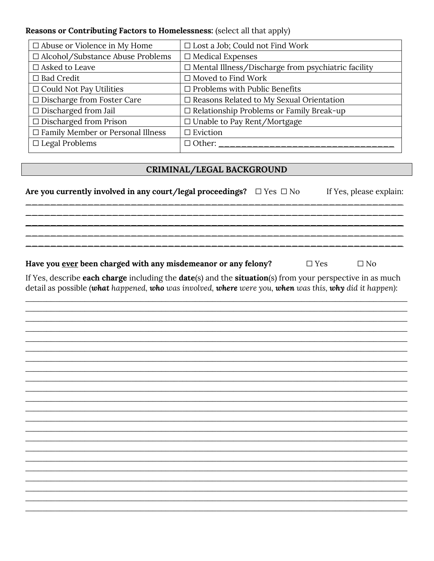#### Reasons or Contributing Factors to Homelessness: (select all that apply)

| $\Box$ Abuse or Violence in My Home      | $\Box$ Lost a Job; Could not Find Work                    |
|------------------------------------------|-----------------------------------------------------------|
| □ Alcohol/Substance Abuse Problems       | $\Box$ Medical Expenses                                   |
| $\square$ Asked to Leave                 | $\Box$ Mental Illness/Discharge from psychiatric facility |
| $\Box$ Bad Credit                        | $\Box$ Moved to Find Work                                 |
| $\Box$ Could Not Pay Utilities           | $\Box$ Problems with Public Benefits                      |
| □ Discharge from Foster Care             | $\Box$ Reasons Related to My Sexual Orientation           |
| $\Box$ Discharged from Jail              | $\Box$ Relationship Problems or Family Break-up           |
| $\Box$ Discharged from Prison            | □ Unable to Pay Rent/Mortgage                             |
| $\Box$ Family Member or Personal Illness | $\Box$ Eviction                                           |
| $\Box$ Legal Problems                    | $\Box$ Other:                                             |

### CRIMINAL/LEGAL BACKGROUND

Are you currently involved in any court/legal proceedings?  $\Box$  Yes  $\Box$  No If Yes, please explain: Have you ever been charged with any misdemeanor or any felony?  $\Box$  Yes  $\Box$  No If Yes, describe each charge including the date(s) and the situation(s) from your perspective in as much detail as possible (what happened, who was involved, where were you, when was this, why did it happen):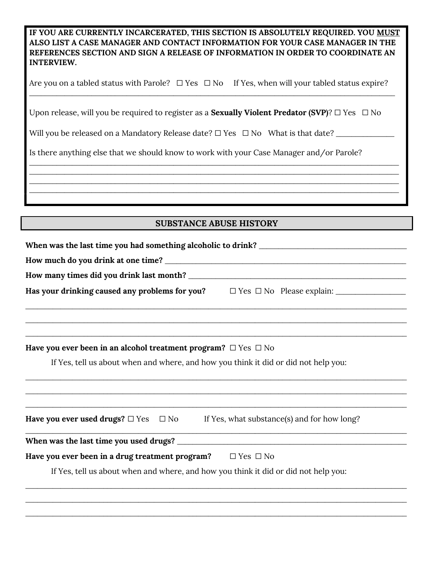IF YOU ARE CURRENTLY INCARCERATED, THIS SECTION IS ABSOLUTELY REQUIRED. YOU MUST ALSO LIST A CASE MANAGER AND CONTACT INFORMATION FOR YOUR CASE MANAGER IN THE REFERENCES SECTION AND SIGN A RELEASE OF INFORMATION IN ORDER TO COORDINATE AN INTERVIEW.

Are you on a tabled status with Parole?  $\Box$  Yes  $\Box$  No If Yes, when will your tabled status expire? \_\_\_\_\_\_\_\_\_\_\_\_\_\_\_\_\_\_\_\_\_\_\_\_\_\_\_\_\_\_\_\_\_\_\_\_\_\_\_\_\_\_\_\_\_\_\_\_\_\_\_\_\_\_\_\_\_\_\_\_\_\_\_\_\_\_\_\_\_\_\_\_\_\_\_\_\_\_\_\_\_\_\_\_\_\_\_\_\_\_\_\_\_\_

Upon release, will you be required to register as a **Sexually Violent Predator (SVP)**? □ Yes □ No

Will you be released on a Mandatory Release date? ☐ Yes ☐ No What is that date? \_\_\_\_\_\_\_\_\_\_\_\_\_\_\_

Is there anything else that we should know to work with your Case Manager and/or Parole?

### SUBSTANCE ABUSE HISTORY

\_\_\_\_\_\_\_\_\_\_\_\_\_\_\_\_\_\_\_\_\_\_\_\_\_\_\_\_\_\_\_\_\_\_\_\_\_\_\_\_\_\_\_\_\_\_\_\_\_\_\_\_\_\_\_\_\_\_\_\_\_\_\_\_\_\_\_\_\_\_\_\_\_\_\_\_\_\_\_\_\_\_\_\_\_\_\_\_\_\_\_\_\_\_\_ \_\_\_\_\_\_\_\_\_\_\_\_\_\_\_\_\_\_\_\_\_\_\_\_\_\_\_\_\_\_\_\_\_\_\_\_\_\_\_\_\_\_\_\_\_\_\_\_\_\_\_\_\_\_\_\_\_\_\_\_\_\_\_\_\_\_\_\_\_\_\_\_\_\_\_\_\_\_\_\_\_\_\_\_\_\_\_\_\_\_\_\_\_\_\_ \_\_\_\_\_\_\_\_\_\_\_\_\_\_\_\_\_\_\_\_\_\_\_\_\_\_\_\_\_\_\_\_\_\_\_\_\_\_\_\_\_\_\_\_\_\_\_\_\_\_\_\_\_\_\_\_\_\_\_\_\_\_\_\_\_\_\_\_\_\_\_\_\_\_\_\_\_\_\_\_\_\_\_\_\_\_\_\_\_\_\_\_\_\_\_ \_\_\_\_\_\_\_\_\_\_\_\_\_\_\_\_\_\_\_\_\_\_\_\_\_\_\_\_\_\_\_\_\_\_\_\_\_\_\_\_\_\_\_\_\_\_\_\_\_\_\_\_\_\_\_\_\_\_\_\_\_\_\_\_\_\_\_\_\_\_\_\_\_\_\_\_\_\_\_\_\_\_\_\_\_\_\_\_\_\_\_\_\_\_\_

| Have you ever been in an alcohol treatment program? $\Box$ Yes $\Box$ No                          |                                                                                     |  |
|---------------------------------------------------------------------------------------------------|-------------------------------------------------------------------------------------|--|
|                                                                                                   | If Yes, tell us about when and where, and how you think it did or did not help you: |  |
| <b>Have you ever used drugs?</b> $\Box$ Yes $\Box$ No If Yes, what substance(s) and for how long? |                                                                                     |  |
|                                                                                                   |                                                                                     |  |
| Have you ever been in a drug treatment program? $\square$ Yes $\square$ No                        |                                                                                     |  |
|                                                                                                   | If Yes, tell us about when and where, and how you think it did or did not help you: |  |

 $\_$  ,  $\_$  ,  $\_$  ,  $\_$  ,  $\_$  ,  $\_$  ,  $\_$  ,  $\_$  ,  $\_$  ,  $\_$  ,  $\_$  ,  $\_$  ,  $\_$  ,  $\_$  ,  $\_$  ,  $\_$  ,  $\_$  ,  $\_$  ,  $\_$  ,  $\_$  ,  $\_$  ,  $\_$  ,  $\_$  ,  $\_$  ,  $\_$  ,  $\_$  ,  $\_$  ,  $\_$  ,  $\_$  ,  $\_$  ,  $\_$  ,  $\_$  ,  $\_$  ,  $\_$  ,  $\_$  ,  $\_$  ,  $\_$  ,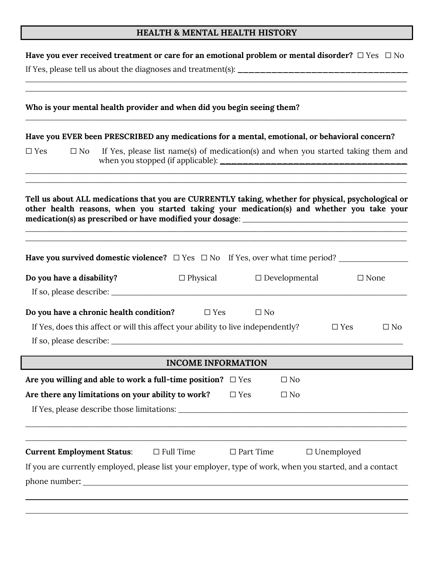## HEALTH & MENTAL HEALTH HISTORY

| <u> 1989 - Johann Stoff, deutscher Stoff, der Stoff, der Stoff, der Stoff, der Stoff, der Stoff, der Stoff, der S</u>                                                                             |                                                                                   |                  |                                                                                                                      |                   |              |
|---------------------------------------------------------------------------------------------------------------------------------------------------------------------------------------------------|-----------------------------------------------------------------------------------|------------------|----------------------------------------------------------------------------------------------------------------------|-------------------|--------------|
| Who is your mental health provider and when did you begin seeing them?                                                                                                                            |                                                                                   |                  | <u> 1989 - Jan James James James James James James James James James James James James James James James James J</u> |                   |              |
| Have you EVER been PRESCRIBED any medications for a mental, emotional, or behavioral concern?                                                                                                     |                                                                                   |                  |                                                                                                                      |                   |              |
| $\square$ Yes<br>$\square$ No                                                                                                                                                                     | If Yes, please list name(s) of medication(s) and when you started taking them and |                  |                                                                                                                      |                   |              |
| Tell us about ALL medications that you are CURRENTLY taking, whether for physical, psychological or<br>other health reasons, when you started taking your medication(s) and whether you take your |                                                                                   |                  |                                                                                                                      |                   |              |
| Have you survived domestic violence? $\Box$ Yes $\Box$ No If Yes, over what time period?                                                                                                          |                                                                                   |                  |                                                                                                                      |                   |              |
| Do you have a disability?                                                                                                                                                                         | $\Box$ Physical                                                                   |                  | $\Box$ Developmental                                                                                                 |                   | $\Box$ None  |
|                                                                                                                                                                                                   |                                                                                   |                  |                                                                                                                      |                   |              |
| Do you have a chronic health condition?                                                                                                                                                           | $\square$ Yes                                                                     | $\square$ No     |                                                                                                                      |                   |              |
| If Yes, does this affect or will this affect your ability to live independently?                                                                                                                  |                                                                                   |                  |                                                                                                                      | $\Box$ Yes        | $\square$ No |
|                                                                                                                                                                                                   | <b>INCOME INFORMATION</b>                                                         |                  |                                                                                                                      |                   |              |
| Are you willing and able to work a full-time position? $\Box$ Yes                                                                                                                                 |                                                                                   |                  | $\square$ No                                                                                                         |                   |              |
| Are there any limitations on your ability to work?                                                                                                                                                |                                                                                   | $\Box$ Yes       | $\square$ No                                                                                                         |                   |              |
|                                                                                                                                                                                                   |                                                                                   |                  |                                                                                                                      |                   |              |
| <b>Current Employment Status:</b>                                                                                                                                                                 | $\Box$ Full Time                                                                  | $\Box$ Part Time |                                                                                                                      | $\Box$ Unemployed |              |
| If you are currently employed, please list your employer, type of work, when you started, and a contact                                                                                           |                                                                                   |                  |                                                                                                                      |                   |              |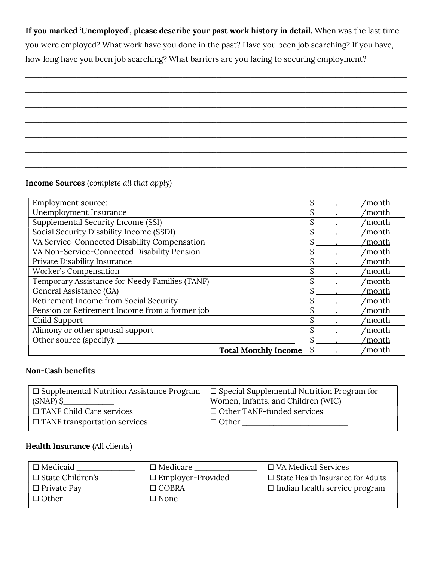If you marked 'Unemployed', please describe your past work history in detail. When was the last time

\_\_\_\_\_\_\_\_\_\_\_\_\_\_\_\_\_\_\_\_\_\_\_\_\_\_\_\_\_\_\_\_\_\_\_\_\_\_\_\_\_\_\_\_\_\_\_\_\_\_\_\_\_\_\_\_\_\_\_\_\_\_\_\_\_\_\_\_\_\_\_\_\_\_\_\_\_\_\_\_\_\_\_\_\_\_\_\_\_\_

 $\overline{\phantom{a}}$  , and the contribution of the contribution of the contribution of the contribution of the contribution of the contribution of the contribution of the contribution of the contribution of the contribution of the

\_\_\_\_\_\_\_\_\_\_\_\_\_\_\_\_\_\_\_\_\_\_\_\_\_\_\_\_\_\_\_\_\_\_\_\_\_\_\_\_\_\_\_\_\_\_\_\_\_\_\_\_\_\_\_\_\_\_\_\_\_\_\_\_\_\_\_\_\_\_\_\_\_\_\_\_\_\_\_\_\_\_\_\_\_\_\_\_\_\_

\_\_\_\_\_\_\_\_\_\_\_\_\_\_\_\_\_\_\_\_\_\_\_\_\_\_\_\_\_\_\_\_\_\_\_\_\_\_\_\_\_\_\_\_\_\_\_\_\_\_\_\_\_\_\_\_\_\_\_\_\_\_\_\_\_\_\_\_\_\_\_\_\_\_\_\_\_\_\_\_\_\_\_\_\_\_\_\_\_\_

 $\overline{\phantom{a}}$  , and the contribution of the contribution of the contribution of the contribution of the contribution of the contribution of the contribution of the contribution of the contribution of the contribution of the

\_\_\_\_\_\_\_\_\_\_\_\_\_\_\_\_\_\_\_\_\_\_\_\_\_\_\_\_\_\_\_\_\_\_\_\_\_\_\_\_\_\_\_\_\_\_\_\_\_\_\_\_\_\_\_\_\_\_\_\_\_\_\_\_\_\_\_\_\_\_\_\_\_\_\_\_\_\_\_\_\_\_\_\_\_\_\_\_\_\_

 $\overline{\phantom{a}}$  , and the contribution of the contribution of the contribution of the contribution of the contribution of the contribution of the contribution of the contribution of the contribution of the contribution of the

you were employed? What work have you done in the past? Have you been job searching? If you have,

how long have you been job searching? What barriers are you facing to securing employment?

#### Income Sources (complete all that apply)

| Employment source: _____                       |  | 'month |
|------------------------------------------------|--|--------|
| Unemployment Insurance                         |  | ′month |
| Supplemental Security Income (SSI)             |  | 'month |
| Social Security Disability Income (SSDI)       |  | 'month |
| VA Service-Connected Disability Compensation   |  | 'month |
| VA Non-Service-Connected Disability Pension    |  | 'month |
| Private Disability Insurance                   |  | month' |
| Worker's Compensation                          |  | 'month |
| Temporary Assistance for Needy Families (TANF) |  | month' |
| General Assistance (GA)                        |  | 'month |
| Retirement Income from Social Security         |  | 'month |
| Pension or Retirement Income from a former job |  | month' |
| Child Support                                  |  | month' |
| Alimony or other spousal support               |  | 'month |
| Other source (specify):                        |  | month' |
| <b>Total Monthly Income</b>                    |  | 'month |

#### Non-Cash benefits

| $\Box$ Supplemental Nutrition Assistance Program | $\Box$ Special Supplemental Nutrition Program for |
|--------------------------------------------------|---------------------------------------------------|
| $(SNAP)$ \$                                      | Women, Infants, and Children (WIC)                |
| $\Box$ TANF Child Care services                  | $\Box$ Other TANF-funded services                 |
| $\Box$ TANF transportation services              | $\Box$ Other                                      |
|                                                  |                                                   |

#### Health Insurance (All clients)

| $\Box$ Medicaid         | $\Box$ Medicare          | $\Box$ VA Medical Services               |
|-------------------------|--------------------------|------------------------------------------|
| $\Box$ State Children's | $\Box$ Employer-Provided | $\Box$ State Health Insurance for Adults |
| $\Box$ Private Pay      | $\Box$ COBRA             | $\Box$ Indian health service program     |
| $\Box$ Other            | $\Box$ None              |                                          |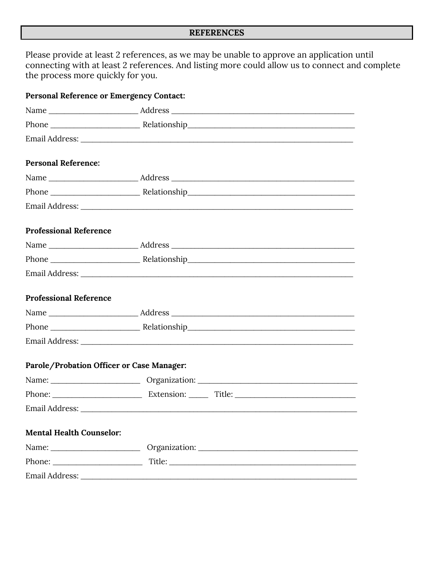### **REFERENCES**

Please provide at least 2 references, as we may be unable to approve an application until connecting with at least 2 references. And listing more could allow us to connect and complete the process more quickly for you.

| <b>Personal Reference or Emergency Contact:</b> |  |  |
|-------------------------------------------------|--|--|
|                                                 |  |  |
|                                                 |  |  |
|                                                 |  |  |
| <b>Personal Reference:</b>                      |  |  |
|                                                 |  |  |
|                                                 |  |  |
|                                                 |  |  |
| <b>Professional Reference</b>                   |  |  |
|                                                 |  |  |
|                                                 |  |  |
|                                                 |  |  |
| <b>Professional Reference</b>                   |  |  |
|                                                 |  |  |
|                                                 |  |  |
|                                                 |  |  |
| Parole/Probation Officer or Case Manager:       |  |  |
|                                                 |  |  |
|                                                 |  |  |
| Email Address:                                  |  |  |
| <b>Mental Health Counselor:</b>                 |  |  |
|                                                 |  |  |
|                                                 |  |  |
|                                                 |  |  |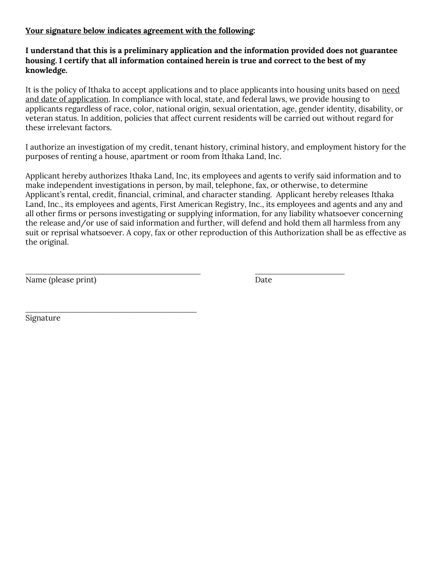#### Your signature below indicates agreement with the following:

#### I understand that this is a preliminary application and the information provided does not guarantee housing. I certify that all information contained herein is true and correct to the best of my knowledge.

It is the policy of Ithaka to accept applications and to place applicants into housing units based on need and date of application. In compliance with local, state, and federal laws, we provide housing to applicants regardless of race, color, national origin, sexual orientation, age, gender identity, disability, or veteran status. In addition, policies that affect current residents will be carried out without regard for these irrelevant factors.

I authorize an investigation of my credit, tenant history, criminal history, and employment history for the purposes of renting a house, apartment or room from Ithaka Land, Inc.

Applicant hereby authorizes Ithaka Land, Inc, its employees and agents to verify said information and to make independent investigations in person, by mail, telephone, fax, or otherwise, to determine Applicant's rental, credit, financial, criminal, and character standing. Applicant hereby releases Ithaka Land, Inc., its employees and agents, First American Registry, Inc., its employees and agents and any and all other firms or persons investigating or supplying information, for any liability whatsoever concerning the release and/or use of said information and further, will defend and hold them all harmless from any suit or reprisal whatsoever. A copy, fax or other reproduction of this Authorization shall be as effective as the original.

\_\_\_\_\_\_\_\_\_\_\_\_\_\_\_\_\_\_\_\_\_\_\_\_\_\_\_\_\_\_\_\_\_\_\_\_\_\_\_\_\_\_\_\_\_ \_\_\_\_\_\_\_\_\_\_\_\_\_\_\_\_\_\_\_\_\_\_\_

Name (please print) Date

\_\_\_\_\_\_\_\_\_\_\_\_\_\_\_\_\_\_\_\_\_\_\_\_\_\_\_\_\_\_\_\_\_\_\_\_\_\_\_\_\_\_\_\_

Signature